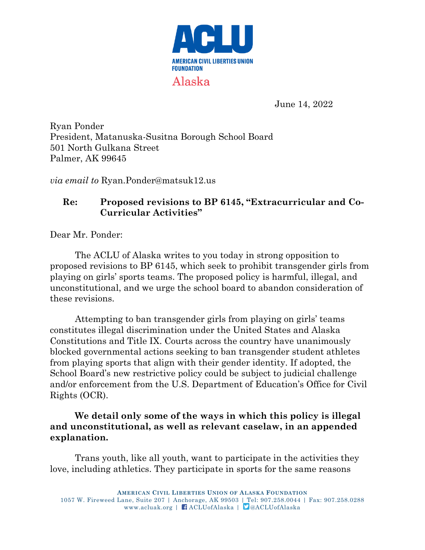

June 14, 2022

Ryan Ponder President, Matanuska-Susitna Borough School Board 501 North Gulkana Street Palmer, AK 99645

*via email to* Ryan.Ponder@matsuk12.us

## **Re: Proposed revisions to BP 6145, "Extracurricular and Co-Curricular Activities"**

Dear Mr. Ponder:

The ACLU of Alaska writes to you today in strong opposition to proposed revisions to BP 6145, which seek to prohibit transgender girls from playing on girls' sports teams. The proposed policy is harmful, illegal, and unconstitutional, and we urge the school board to abandon consideration of these revisions.

Attempting to ban transgender girls from playing on girls' teams constitutes illegal discrimination under the United States and Alaska Constitutions and Title IX. Courts across the country have unanimously blocked governmental actions seeking to ban transgender student athletes from playing sports that align with their gender identity. If adopted, the School Board's new restrictive policy could be subject to judicial challenge and/or enforcement from the U.S. Department of Education's Office for Civil Rights (OCR).

## **We detail only some of the ways in which this policy is illegal and unconstitutional, as well as relevant caselaw, in an appended explanation.**

Trans youth, like all youth, want to participate in the activities they love, including athletics. They participate in sports for the same reasons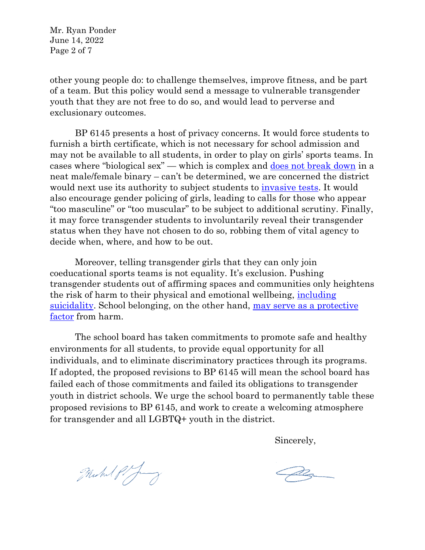Mr. Ryan Ponder June 14, 2022 Page 2 of 7

other young people do: to challenge themselves, improve fitness, and be part of a team. But this policy would send a message to vulnerable transgender youth that they are not free to do so, and would lead to perverse and exclusionary outcomes.

BP 6145 presents a host of privacy concerns. It would force students to furnish a birth certificate, which is not necessary for school admission and may not be available to all students, in order to play on girls' sports teams. In cases where "biological sex" — which is complex and [does not break down](https://www.theguardian.com/commentisfree/2019/mar/06/testosterone-biological-sex-sports-bodies) in a neat male/female binary – can't be determined, we are concerned the district would next use its authority to subject students to *invasive tests*. It would also encourage gender policing of girls, leading to calls for those who appear "too masculine" or "too muscular" to be subject to additional scrutiny. Finally, it may force transgender students to involuntarily reveal their transgender status when they have not chosen to do so, robbing them of vital agency to decide when, where, and how to be out.

Moreover, telling transgender girls that they can only join coeducational sports teams is not equality. It's exclusion. Pushing transgender students out of affirming spaces and communities only heightens the risk of harm to their physical and emotional wellbeing, [including](https://williamsinstitute.law.ucla.edu/wp-content/uploads/Suicidality-Transgender-Sep-2019.pdf)  [suicidality.](https://williamsinstitute.law.ucla.edu/wp-content/uploads/Suicidality-Transgender-Sep-2019.pdf) School belonging, on the other hand, [may serve as a protective](https://pubmed.ncbi.nlm.nih.gov/32345113/)  [factor](https://pubmed.ncbi.nlm.nih.gov/32345113/) from harm.

The school board has taken commitments to promote safe and healthy environments for all students, to provide equal opportunity for all individuals, and to eliminate discriminatory practices through its programs. If adopted, the proposed revisions to BP 6145 will mean the school board has failed each of those commitments and failed its obligations to transgender youth in district schools. We urge the school board to permanently table these proposed revisions to BP 6145, and work to create a welcoming atmosphere for transgender and all LGBTQ+ youth in the district.

Sincerely,

Michal Pify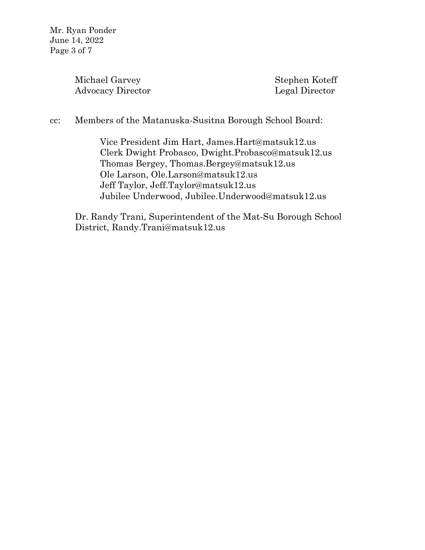Mr. Ryan Ponder June 14, 2022 Page 3 of 7

> Michael Garvey Stephen Koteff Advocacy Director Legal Director

cc: Members of the Matanuska-Susitna Borough School Board:

Vice President Jim Hart, James.Hart@matsuk12.us Clerk Dwight Probasco, Dwight.Probasco@matsuk12.us Thomas Bergey, Thomas.Bergey@matsuk12.us Ole Larson, Ole.Larson@matsuk12.us Jeff Taylor, [Jeff.Taylor@matsuk12.us](mailto:Jeff.Taylor@matsuk12.us) Jubilee Underwood, Jubilee.Underwood@matsuk12.us

Dr. Randy Trani, Superintendent of the Mat-Su Borough School District, Randy.Trani@matsuk12.us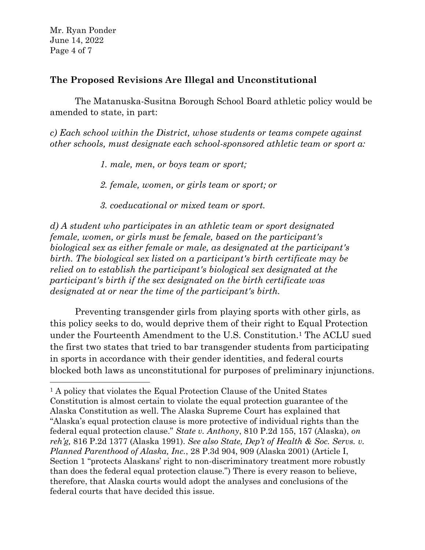Mr. Ryan Ponder June 14, 2022 Page 4 of 7

## **The Proposed Revisions Are Illegal and Unconstitutional**

The Matanuska-Susitna Borough School Board athletic policy would be amended to state, in part:

*c) Each school within the District, whose students or teams compete against other schools, must designate each school-sponsored athletic team or sport a:*

*1. male, men, or boys team or sport;*

*2. female, women, or girls team or sport; or*

*3. coeducational or mixed team or sport.*

*d) A student who participates in an athletic team or sport designated female, women, or girls must be female, based on the participant's biological sex as either female or male, as designated at the participant's birth. The biological sex listed on a participant's birth certificate may be relied on to establish the participant's biological sex designated at the participant's birth if the sex designated on the birth certificate was designated at or near the time of the participant's birth.*

Preventing transgender girls from playing sports with other girls, as this policy seeks to do, would deprive them of their right to Equal Protection under the Fourteenth Amendment to the U.S. Constitution.<sup>1</sup> The ACLU sued the first two states that tried to bar transgender students from participating in sports in accordance with their gender identities, and federal courts blocked both laws as unconstitutional for purposes of preliminary injunctions.

<sup>&</sup>lt;sup>1</sup> A policy that violates the Equal Protection Clause of the United States Constitution is almost certain to violate the equal protection guarantee of the Alaska Constitution as well. The Alaska Supreme Court has explained that "Alaska's equal protection clause is more protective of individual rights than the federal equal protection clause." *State v. Anthony*, 810 P.2d 155, 157 (Alaska), *on reh'g,* 816 P.2d 1377 (Alaska 1991). *See also State, Dep't of Health & Soc. Servs. v. Planned Parenthood of Alaska, Inc.*, 28 P.3d 904, 909 (Alaska 2001) (Article I, Section 1 "protects Alaskans' right to non-discriminatory treatment more robustly than does the federal equal protection clause.") There is every reason to believe, therefore, that Alaska courts would adopt the analyses and conclusions of the federal courts that have decided this issue.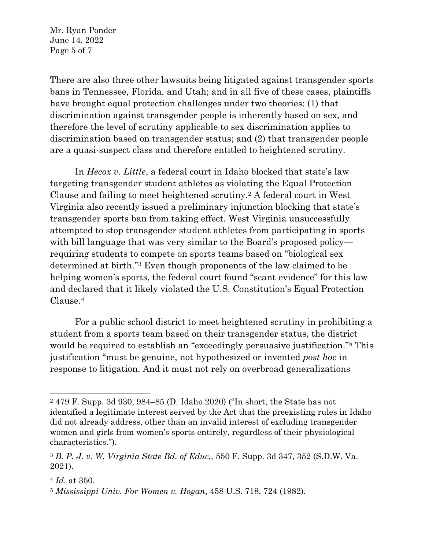Mr. Ryan Ponder June 14, 2022 Page 5 of 7

There are also three other lawsuits being litigated against transgender sports bans in Tennessee, Florida, and Utah; and in all five of these cases, plaintiffs have brought equal protection challenges under two theories: (1) that discrimination against transgender people is inherently based on sex, and therefore the level of scrutiny applicable to sex discrimination applies to discrimination based on transgender status; and (2) that transgender people are a quasi-suspect class and therefore entitled to heightened scrutiny.

In *Hecox v. Little*, a federal court in Idaho blocked that state's law targeting transgender student athletes as violating the Equal Protection Clause and failing to meet heightened scrutiny.<sup>2</sup> A federal court in West Virginia also recently issued a preliminary injunction blocking that state's transgender sports ban from taking effect. West Virginia unsuccessfully attempted to stop transgender student athletes from participating in sports with bill language that was very similar to the Board's proposed policy requiring students to compete on sports teams based on "biological sex determined at birth."<sup>3</sup> Even though proponents of the law claimed to be helping women's sports, the federal court found "scant evidence" for this law and declared that it likely violated the U.S. Constitution's Equal Protection Clause.<sup>4</sup>

For a public school district to meet heightened scrutiny in prohibiting a student from a sports team based on their transgender status, the district would be required to establish an "exceedingly persuasive justification."<sup>5</sup> This justification "must be genuine, not hypothesized or invented *post hoc* in response to litigation. And it must not rely on overbroad generalizations

<sup>2</sup> 479 F. Supp. 3d 930, 984–85 (D. Idaho 2020) ("In short, the State has not identified a legitimate interest served by the Act that the preexisting rules in Idaho did not already address, other than an invalid interest of excluding transgender women and girls from women's sports entirely, regardless of their physiological characteristics.").

<sup>3</sup> *B. P. J. v. W. Virginia State Bd. of Educ.,* 550 F. Supp. 3d 347, 352 (S.D.W. Va. 2021).

<sup>4</sup> *Id.* at 350.

<sup>5</sup> *Mississippi Univ. For Women v. Hogan*, 458 U.S. 718, 724 (1982).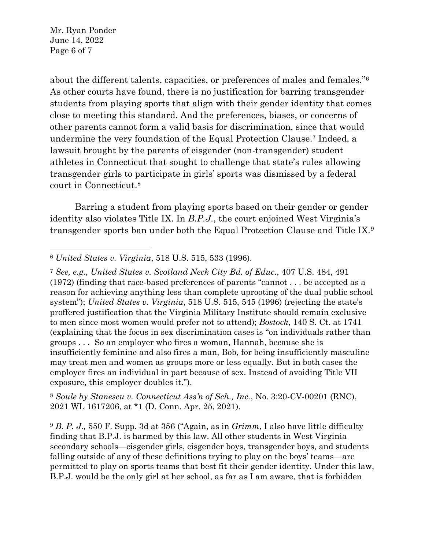Mr. Ryan Ponder June 14, 2022 Page 6 of 7

about the different talents, capacities, or preferences of males and females."<sup>6</sup> As other courts have found, there is no justification for barring transgender students from playing sports that align with their gender identity that comes close to meeting this standard. And the preferences, biases, or concerns of other parents cannot form a valid basis for discrimination, since that would undermine the very foundation of the Equal Protection Clause.<sup>7</sup> Indeed, a lawsuit brought by the parents of cisgender (non-transgender) student athletes in Connecticut that sought to challenge that state's rules allowing transgender girls to participate in girls' sports was dismissed by a federal court in Connecticut.<sup>8</sup>

Barring a student from playing sports based on their gender or gender identity also violates Title IX. In *B.P.J.*, the court enjoined West Virginia's transgender sports ban under both the Equal Protection Clause and Title IX.<sup>9</sup>

<sup>8</sup> *Soule by Stanescu v. Connecticut Ass'n of Sch., Inc.*, No. 3:20-CV-00201 (RNC), 2021 WL 1617206, at \*1 (D. Conn. Apr. 25, 2021).

<sup>9</sup> *B. P. J.,* 550 F. Supp. 3d at 356 ("Again, as in *Grimm*, I also have little difficulty finding that B.P.J. is harmed by this law. All other students in West Virginia secondary schools—cisgender girls, cisgender boys, transgender boys, and students falling outside of any of these definitions trying to play on the boys' teams—are permitted to play on sports teams that best fit their gender identity. Under this law, B.P.J. would be the only girl at her school, as far as I am aware, that is forbidden

<sup>6</sup> *United States v. Virginia*, 518 U.S. 515, 533 (1996).

<sup>7</sup> *See, e.g., United States v. Scotland Neck City Bd. of Educ*., 407 U.S. 484, 491 (1972) (finding that race-based preferences of parents "cannot . . . be accepted as a reason for achieving anything less than complete uprooting of the dual public school system"); *United States v. Virginia*, 518 U.S. 515, 545 (1996) (rejecting the state's proffered justification that the Virginia Military Institute should remain exclusive to men since most women would prefer not to attend); *Bostock*, 140 S. Ct. at 1741 (explaining that the focus in sex discrimination cases is "on individuals rather than groups . . . So an employer who fires a woman, Hannah, because she is insufficiently feminine and also fires a man, Bob, for being insufficiently masculine may treat men and women as groups more or less equally. But in both cases the employer fires an individual in part because of sex. Instead of avoiding Title VII exposure, this employer doubles it.").